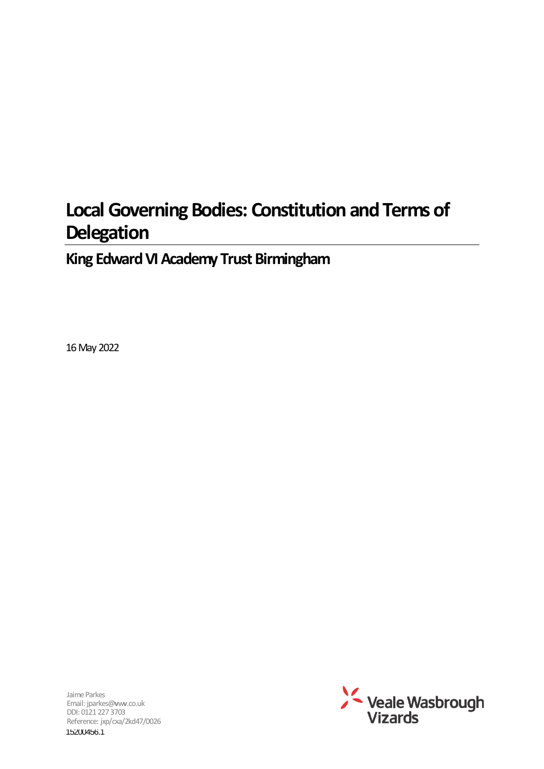# **Local Governing Bodies: Constitution and Terms of Delegation**

**King Edward VI Academy Trust Birmingham** 

16 May 2022

15200456.1 Jaime Parkes Email: jparkes@**v**w**v**.co.uk DDI: 0121 227 3703 Reference: jxp/cxa/2kd47/0026

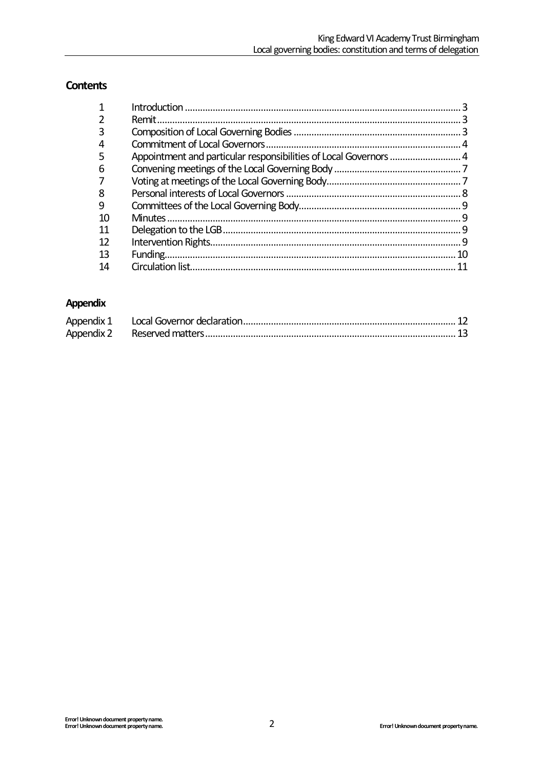## **Contents**

| 3  |                                                                   |    |
|----|-------------------------------------------------------------------|----|
| 4  |                                                                   |    |
| 5  | Appointment and particular responsibilities of Local Governors  4 |    |
| 6  |                                                                   |    |
|    |                                                                   |    |
| 8  |                                                                   |    |
| 9  |                                                                   |    |
| 10 |                                                                   |    |
| 11 |                                                                   |    |
| 12 |                                                                   |    |
| 13 |                                                                   | 10 |
| 14 |                                                                   |    |
|    |                                                                   |    |

## **Appendix**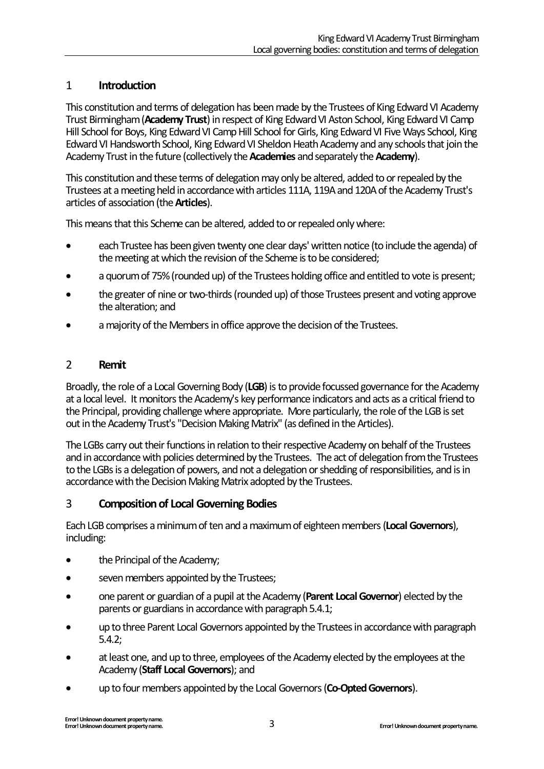## <span id="page-2-0"></span>1 **Introduction**

This constitution and terms of delegation has been made by the Trustees of King Edward VI Academy Trust Birmingham (**Academy Trust**) in respect of King Edward VI Aston School, King Edward VI Camp Hill School for Boys, King Edward VI Camp Hill School for Girls, King Edward VI Five Ways School, King Edward VI Handsworth School, King Edward VI Sheldon Heath Academy and any schools that join the Academy Trust in the future (collectively the **Academies** and separately the **Academy**).

This constitution and these terms of delegation may only be altered, added to or repealed by the Trustees at a meeting held in accordance with articles 111A, 119A and 120A of the Academy Trust's articles of association (the **Articles**).

This means that this Scheme can be altered, added to or repealed only where:

- each Trustee has been given twenty one clear days' written notice (to include the agenda) of the meeting at which the revision of the Scheme is to be considered;
- a quorum of 75% (rounded up) of the Trustees holding office and entitled to vote is present;
- the greater of nine or two-thirds (rounded up) of those Trustees present and voting approve the alteration; and
- a majority of the Members in office approve the decision of the Trustees.

## <span id="page-2-1"></span>2 **Remit**

Broadly, the role of a Local Governing Body (**LGB**) is to provide focussed governance for the Academy at a local level. It monitors the Academy's key performance indicators and acts as a critical friend to the Principal, providing challenge where appropriate. More particularly, the role of the LGB is set out in the Academy Trust's "Decision Making Matrix" (as defined in the Articles).

The LGBs carry out their functions in relation to their respective Academy on behalf of the Trustees and in accordance with policies determined by the Trustees. The act of delegation from the Trustees to the LGBs is a delegation of powers, and not a delegation or shedding of responsibilities, and is in accordance with the Decision Making Matrix adopted by the Trustees.

## <span id="page-2-2"></span>3 **Composition of Local Governing Bodies**

Each LGB comprises a minimum of ten and a maximum of eighteen members (**Local Governors**), including:

- the Principal of the Academy;
- seven members appointed by the Trustees;
- one parent or guardian of a pupil at the Academy (**Parent Local Governor**) elected by the parents or guardians in accordance with paragraph 5.4.1;
- up to three Parent Local Governors appointed by the Trustees in accordance with paragraph 5.4.2;
- at least one, and up to three, employees of the Academy elected by the employees at the Academy (**Staff Local Governors**); and
- up to four members appointed by the Local Governors(**Co-Opted Governors**).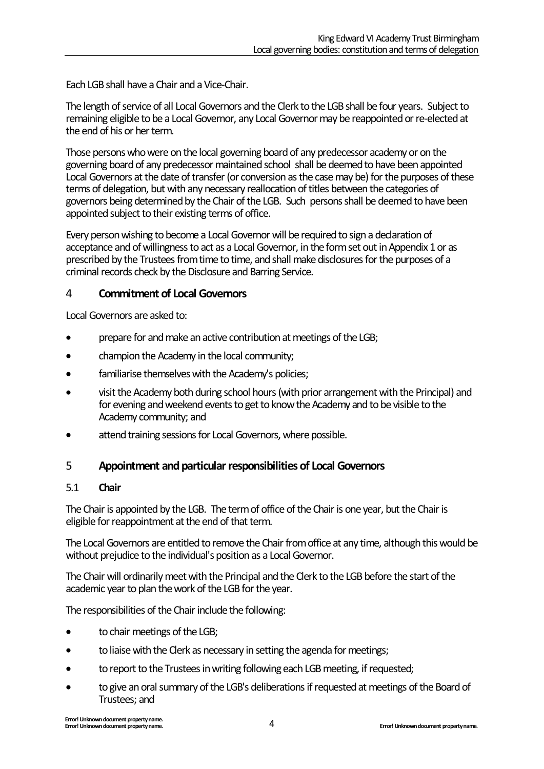Each LGB shall have a Chair and a Vice-Chair.

The length of service of all Local Governors and the Clerk to the LGB shall be four years. Subject to remaining eligible to be a Local Governor, any Local Governor may be reappointed or re-elected at the end of his or her term.

Those persons who were on the local governing board of any predecessor academy or on the governing board of any predecessor maintained school shall be deemed to have been appointed Local Governors at the date of transfer (or conversion as the case may be) for the purposes of these terms of delegation, but with any necessary reallocation of titles between the categories of governors being determined by the Chair of the LGB. Such persons shall be deemed to have been appointed subject to their existing terms of office.

Every person wishing to become a Local Governor will be required to sign a declaration of acceptance and of willingness to act as a Local Governor, in the form set out i[n Appendix 1](#page-11-0)or as prescribed by the Trustees from time to time, and shall make disclosures for the purposes of a criminal records check by the Disclosure and Barring Service.

#### <span id="page-3-0"></span>4 **Commitment of Local Governors**

Local Governors are asked to:

- prepare for and make an active contribution at meetings of the LGB;
- champion the Academy in the local community;
- familiarise themselves with the Academy's policies;
- visit the Academy both during school hours (with prior arrangement with the Principal) and for evening and weekend events to get to know the Academy and to be visible to the Academy community; and
- attend training sessions for Local Governors, where possible.

#### <span id="page-3-1"></span>5 **Appointment and particular responsibilities of Local Governors**

#### 5.1 **Chair**

The Chair is appointed by the LGB. The term of office of the Chair is one year, but the Chair is eligible for reappointment at the end of that term.

The Local Governors are entitled to remove the Chair from office at any time, although this would be without prejudice to the individual's position as a Local Governor.

The Chair will ordinarily meet with the Principal and the Clerk to the LGB before the start of the academic year to plan the work of the LGB for the year.

The responsibilities of the Chair include the following:

- to chair meetings of the LGB;
- to liaise with the Clerk as necessary in setting the agenda for meetings;
- to report to the Trustees in writing following each LGB meeting, if requested;
- to give an oral summary of the LGB's deliberations if requested at meetings of the Board of Trustees; and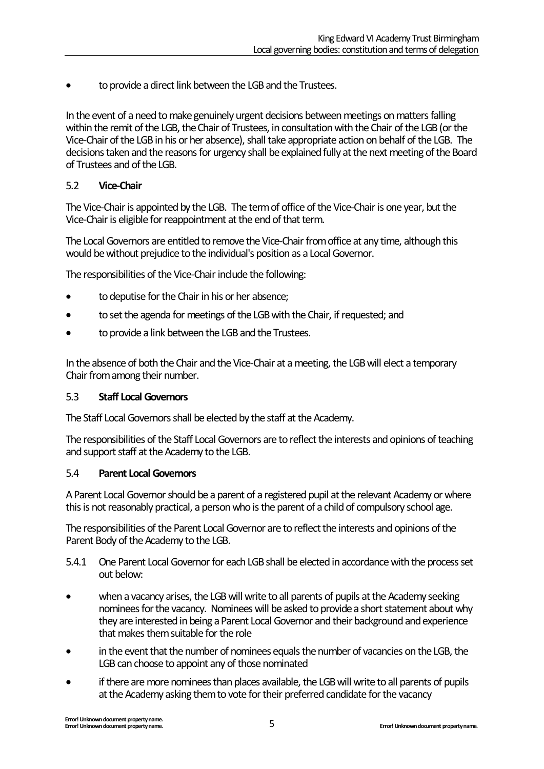to provide a direct link between the LGB and the Trustees.

In the event of a need to make genuinely urgent decisions between meetings on matters falling within the remit of the LGB, the Chair of Trustees, in consultation with the Chair of the LGB (or the Vice-Chair of the LGB in his or her absence), shall take appropriate action on behalf of the LGB. The decisions taken and the reasons for urgency shall be explained fully at the next meeting of the Board of Trustees and of the LGB.

#### 5.2 **Vice-Chair**

The Vice-Chair is appointed by the LGB. The term of office of the Vice-Chair is one year, but the Vice-Chair is eligible for reappointment at the end of that term.

The Local Governors are entitled to remove the Vice-Chair from office at any time, although this would be without prejudice to the individual's position as a Local Governor.

The responsibilities of the Vice-Chair include the following:

- to deputise for the Chair in his or her absence:
- to set the agenda for meetings of the LGB with the Chair, if requested; and
- to provide a link between the LGB and the Trustees.

In the absence of both the Chair and the Vice-Chair at a meeting, the LGB will elect a temporary Chair from among their number.

#### 5.3 **Staff Local Governors**

The Staff Local Governors shall be elected by the staff at the Academy.

The responsibilities of the Staff Local Governors are to reflect the interests and opinions of teaching and support staff at the Academy to the LGB.

#### 5.4 **Parent Local Governors**

A Parent Local Governor should be a parent of a registered pupil at the relevant Academy or where this is not reasonably practical, a person who is the parent of a child of compulsory school age.

The responsibilities of the Parent Local Governor are to reflect the interests and opinions of the Parent Body of the Academy to the LGB.

- 5.4.1 One Parent Local Governor for each LGB shall be elected in accordance with the process set out below:
- when a vacancy arises, the LGB will write to all parents of pupils at the Academy seeking nominees for the vacancy. Nominees will be asked to provide a short statement about why they are interested in being a Parent Local Governor and their background and experience that makes them suitable for the role
- in the event that the number of nominees equals the number of vacancies on the LGB, the LGB can choose to appoint any of those nominated
- if there are more nominees than places available, the LGB will write to all parents of pupils at the Academy asking them to vote for their preferred candidate for the vacancy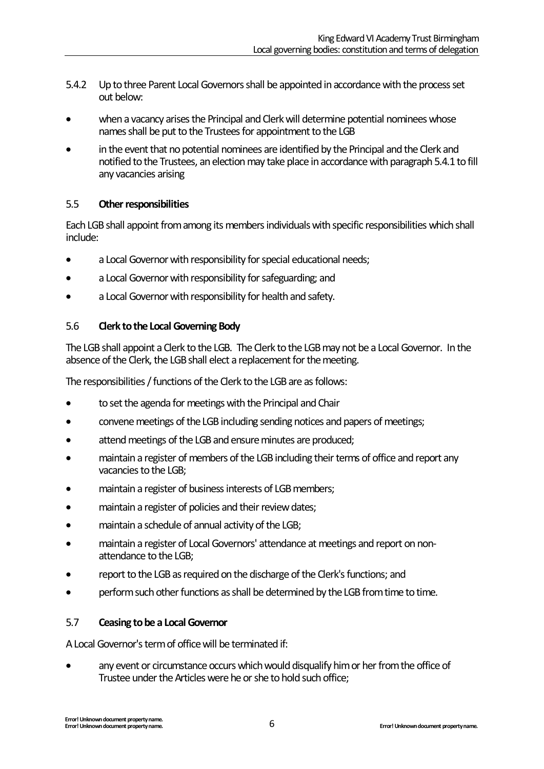- 5.4.2 Up to three Parent Local Governors shall be appointed in accordance with the process set out below:
- when a vacancy arises the Principal and Clerk will determine potential nominees whose names shall be put to the Trustees for appointment to the LGB
- in the event that no potential nominees are identified by the Principal and the Clerk and notified to the Trustees, an election may take place in accordance with paragraph 5.4.1 to fill any vacancies arising

#### 5.5 **Other responsibilities**

Each LGB shall appoint from among its members individuals with specific responsibilities which shall include:

- a Local Governor with responsibility for special educational needs;
- a Local Governor with responsibility for safeguarding; and
- a Local Governor with responsibility for health and safety.

## 5.6 **Clerk to the Local Governing Body**

The LGB shall appoint a Clerk to the LGB. The Clerk to the LGB may not be a Local Governor. In the absence of the Clerk, the LGB shall elect a replacement for the meeting.

The responsibilities/functions of the Clerk to the LGB are as follows:

- to set the agenda for meetings with the Principal and Chair
- convene meetings of the LGB including sending notices and papers of meetings;
- attend meetings of the LGB and ensure minutes are produced;
- maintain a register of members of the LGB including their terms of office and report any vacancies to the LGB;
- maintain a register of business interests of LGB members;
- maintain a register of policies and their review dates;
- maintain a schedule of annual activity of the LGB;
- maintain a register of Local Governors' attendance at meetings and report on nonattendance to the LGB;
- report to the LGB as required on the discharge of the Clerk's functions; and
- perform such other functions as shall be determined by the LGB from time to time.

#### 5.7 **Ceasing to be a Local Governor**

A Local Governor's term of office will be terminated if:

any event or circumstance occurs which would disqualify him or her from the office of Trustee under the Articles were he or she to hold such office;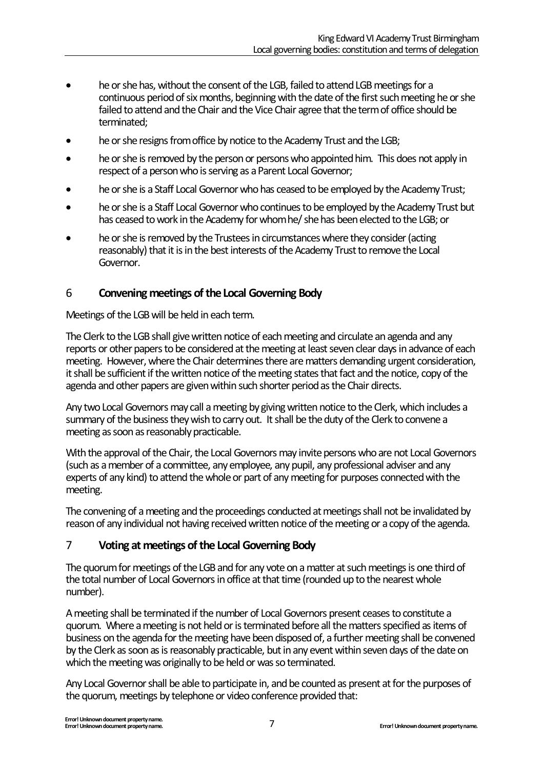- he or she has, without the consent of the LGB, failed to attend LGB meetings for a continuous period of six months, beginning with the date of the first such meeting he or she failed to attend and the Chair and the Vice Chair agree that the termof office should be terminated;
- he or she resigns from office by notice to the Academy Trust and the LGB;
- he or she is removed by the person or persons who appointed him. This does not apply in respect of a person who is serving as a Parent Local Governor;
- he or she is a Staff Local Governor who has ceased to be employed by the Academy Trust;
- he or she is a Staff Local Governor who continues to be employed by the Academy Trust but has ceased to work in the Academy for whom he/ she has been elected to the LGB; or
- he or she is removed by the Trustees in circumstances where they consider (acting reasonably) that it is in the best interests of the Academy Trust to remove the Local Governor.

## <span id="page-6-0"></span>6 **Convening meetings of the Local Governing Body**

Meetings of the LGB will be held in each term.

The Clerk to the LGB shall give written notice of each meeting and circulate an agenda and any reports or other papers to be considered at the meeting at least seven clear days in advance of each meeting. However, where the Chair determines there are matters demanding urgent consideration, it shall be sufficient if the written notice of the meeting states that fact and the notice, copy of the agenda and other papers are given within such shorter period as the Chair directs.

Any two Local Governors may call a meeting by giving written notice to the Clerk, which includes a summary of the business they wish to carry out. It shall be the duty of the Clerk to convene a meeting as soon as reasonably practicable.

With the approval of the Chair, the Local Governors may invite persons who are not Local Governors (such as a member of a committee, any employee, any pupil, any professional adviser and any experts of any kind) to attend the whole or part of any meeting for purposes connected with the meeting.

The convening of a meeting and the proceedings conducted at meetings shall not be invalidated by reason of any individual not having received written notice of the meeting or a copy of the agenda.

## <span id="page-6-1"></span>7 **Voting at meetings of the Local Governing Body**

The quorum for meetings of the LGB and for any vote on a matter at such meetings is one third of the total number of Local Governors in office at that time (rounded up to the nearest whole number).

A meeting shall be terminated if the number of Local Governors present ceases to constitute a quorum. Where a meeting is not held or is terminated before all the matters specified as items of business on the agenda for the meeting have been disposed of, a further meeting shall be convened by the Clerk as soon as is reasonably practicable, but in any event within seven days of the date on which the meeting was originally to be held or was so terminated.

Any Local Governor shall be able to participate in, and be counted as present at for the purposes of the quorum, meetings by telephone or video conference provided that: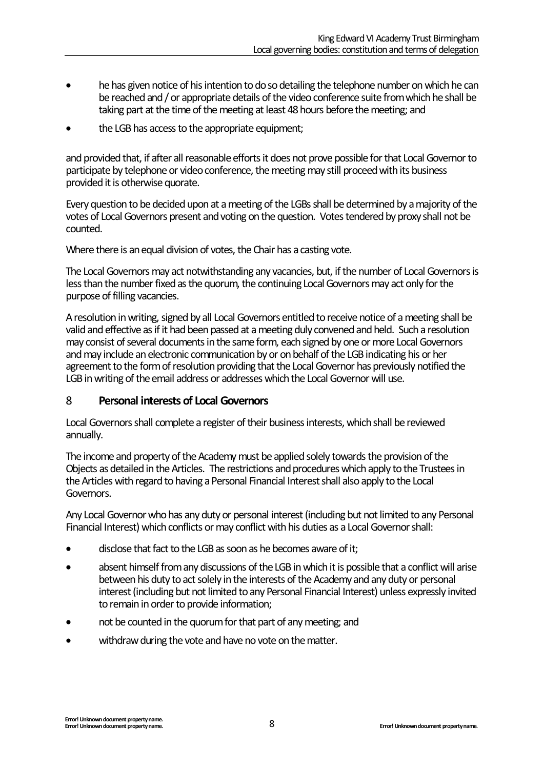- he has given notice of his intention to do so detailing the telephone number on which he can be reached and/ or appropriate details of the video conference suite from which he shall be taking part at the time of the meeting at least 48 hours before the meeting; and
- the LGB has access to the appropriate equipment;

and provided that, if after all reasonable efforts it does not prove possible for that Local Governor to participate by telephone or video conference, the meeting may still proceed with its business provided it is otherwise quorate.

Every question to be decided upon at a meeting of the LGBs shall be determined by a majority of the votes of Local Governors present and voting on the question. Votes tendered by proxy shall not be counted.

Where there is an equal division of votes, the Chair has a casting vote.

The Local Governors may act notwithstanding any vacancies, but, if the number of Local Governors is less than the number fixed as the quorum, the continuing Local Governors may act only for the purpose of filling vacancies.

A resolution in writing, signed by all Local Governors entitled to receive notice of a meeting shall be valid and effective as if it had been passed at a meeting duly convened and held. Such a resolution may consist of several documents in the same form, each signed by one or more Local Governors and may include an electronic communication by or on behalf of the LGB indicating his or her agreement to the form of resolution providing that the Local Governor has previously notified the LGB in writing of the email address or addresses which the Local Governor will use.

#### <span id="page-7-0"></span>8 **Personal interests of Local Governors**

Local Governors shall complete a register of their business interests, which shall be reviewed annually.

The income and property of the Academy must be applied solely towards the provision of the Objects as detailed in the Articles. The restrictions and procedures which apply to the Trustees in the Articles with regard to having a Personal Financial Interest shall also apply to the Local Governors.

Any Local Governor who has any duty or personal interest (including but not limited to any Personal Financial Interest) which conflicts or may conflict with his duties as a Local Governor shall:

- disclose that fact to the LGB as soon as he becomes aware of it;
- absent himself from any discussions of the LGB in which it is possible that a conflict will arise between his duty to act solely in the interests of the Academy and any duty or personal interest (including but not limited to any Personal Financial Interest) unless expressly invited to remain in order to provide information;
- not be counted in the quorum for that part of any meeting; and
- withdraw during the vote and have no vote on the matter.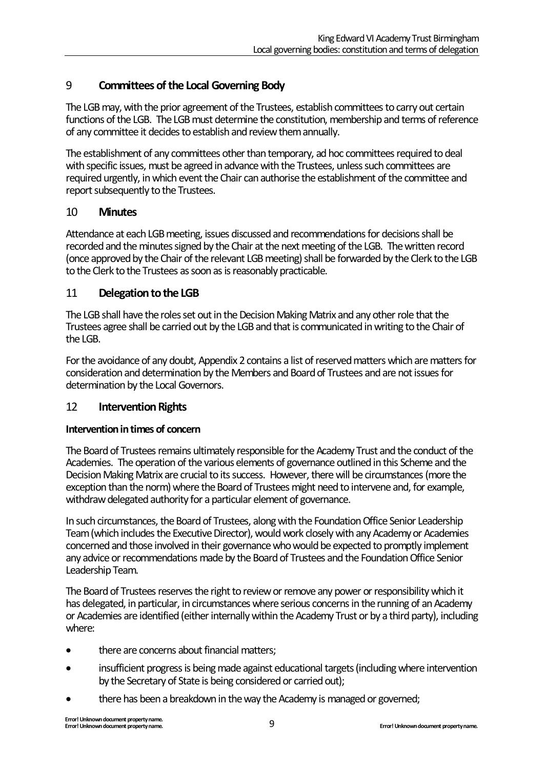## <span id="page-8-0"></span>9 **Committees of the Local Governing Body**

The LGB may, with the prior agreement of the Trustees, establish committees to carry out certain functions of the LGB. The LGB must determine the constitution, membership and terms of reference of any committee it decides to establish and review them annually.

The establishment of any committees other than temporary, ad hoc committees required to deal with specific issues, must be agreed in advance with the Trustees, unless such committees are required urgently, in which event the Chair can authorise the establishment of the committee and report subsequently to the Trustees.

## <span id="page-8-1"></span>10 **Minutes**

Attendance at each LGB meeting, issues discussed and recommendations for decisions shall be recorded and the minutes signed by the Chair at the next meeting of the LGB. The written record (once approved by the Chair of the relevant LGB meeting) shall be forwarded by the Clerk to the LGB to the Clerk to the Trustees as soon as is reasonably practicable.

## <span id="page-8-2"></span>11 **Delegation to the LGB**

The LGB shall have the roles set out in the Decision Making Matrix and any other role that the Trustees agree shall be carried out by the LGB and that is communicated in writing to the Chair of the LGB.

For the avoidance of any doubt, Appendix 2 contains a list of reserved matters which are matters for consideration and determination by the Members and Board of Trustees and are not issues for determination by the Local Governors.

## <span id="page-8-3"></span>12 **Intervention Rights**

#### **Intervention in times of concern**

The Board of Trustees remains ultimately responsible for the Academy Trust and the conduct of the Academies. The operation of the various elements of governance outlined in this Scheme and the Decision Making Matrix are crucial to its success. However, there will be circumstances (more the exception than the norm) where the Board of Trustees might need to intervene and, for example, withdraw delegated authority for a particular element of governance.

In such circumstances, the Board of Trustees, along with the Foundation Office Senior Leadership Team(which includes the Executive Director), would work closely with any Academy or Academies concerned and those involved in their governance who would be expected to promptly implement any advice or recommendations made by the Board of Trustees and the Foundation Office Senior Leadership Team.

The Board of Trustees reserves the right to review or remove any power or responsibility which it has delegated, in particular, in circumstances where serious concerns in the running of an Academy or Academies are identified (either internally within the Academy Trust or by a third party), including where:

- there are concerns about financial matters;
- insufficient progress is being made against educational targets (including where intervention by the Secretary of State is being considered or carried out);
- there has been a breakdown in the way the Academy is managed or governed;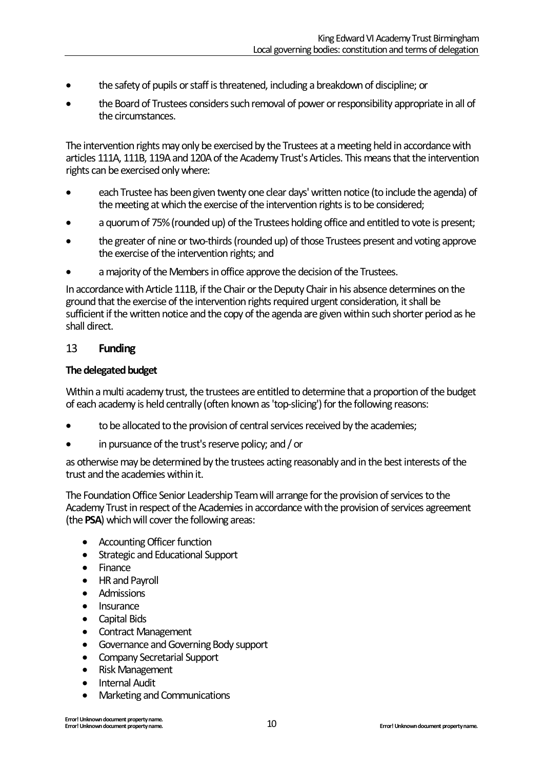- the safety of pupils or staff is threatened, including a breakdown of discipline; or
- the Board of Trustees considers such removal of power or responsibility appropriate in all of the circumstances.

The intervention rights may only be exercised by the Trustees at a meeting held in accordance with articles 111A, 111B, 119A and 120A of the Academy Trust's Articles. This means that the intervention rights can be exercised only where:

- each Trustee has been given twenty one clear days' written notice (to include the agenda) of the meeting at which the exercise of the intervention rights is to be considered;
- a quorum of 75% (rounded up) of the Trustees holding office and entitled to vote is present;
- the greater of nine or two-thirds (rounded up) of those Trustees present and voting approve the exercise of the intervention rights; and
- a majority of the Members in office approve the decision of the Trustees.

In accordance with Article 111B, if the Chair or the Deputy Chair in his absence determines on the ground that the exercise of the intervention rights required urgent consideration, it shall be sufficient if the written notice and the copy of the agenda are given within such shorter period as he shall direct.

#### <span id="page-9-0"></span>13 **Funding**

#### **The delegated budget**

Within a multi academy trust, the trustees are entitled to determine that a proportion of the budget of each academy is held centrally (often known as'top-slicing') for the following reasons:

- to be allocated to the provision of central services received by the academies;
- in pursuance of the trust's reserve policy; and/ or

as otherwise may be determined by the trustees acting reasonably and in the best interests of the trust and the academies within it.

The Foundation Office Senior Leadership Team will arrange for the provision of services to the Academy Trust in respect of the Academies in accordance with the provision of services agreement (the **PSA**) which will cover the following areas:

- Accounting Officer function
- Strategic and Educational Support
- Finance
- HR and Payroll
- Admissions
- Insurance
- Capital Bids
- Contract Management
- Governance and Governing Body support
- Company Secretarial Support
- Risk Management
- Internal Audit
- Marketing and Communications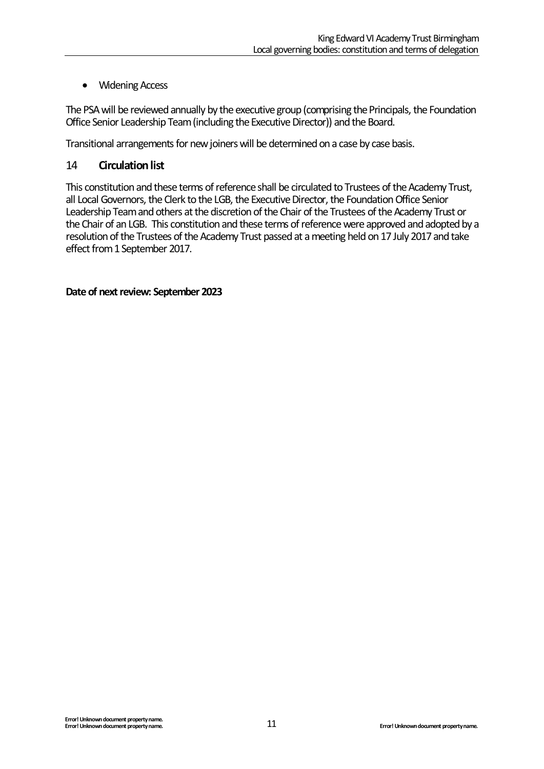• Widening Access

The PSAwill be reviewed annually by the executive group (comprising the Principals, the Foundation Office Senior Leadership Team(including the Executive Director)) and the Board.

Transitional arrangements for new joiners will be determined on a case by case basis.

## <span id="page-10-0"></span>14 **Circulation list**

This constitution and these terms of reference shall be circulated to Trustees of the Academy Trust, all Local Governors, the Clerk to the LGB, the Executive Director, the Foundation Office Senior Leadership Team and others at the discretion of the Chair of the Trustees of the Academy Trust or the Chair of an LGB. This constitution and these terms of reference were approved and adopted by a resolution of the Trustees of the Academy Trust passed at a meeting held on 17 July 2017 and take effect from 1 September 2017.

**Date of next review: September 2023**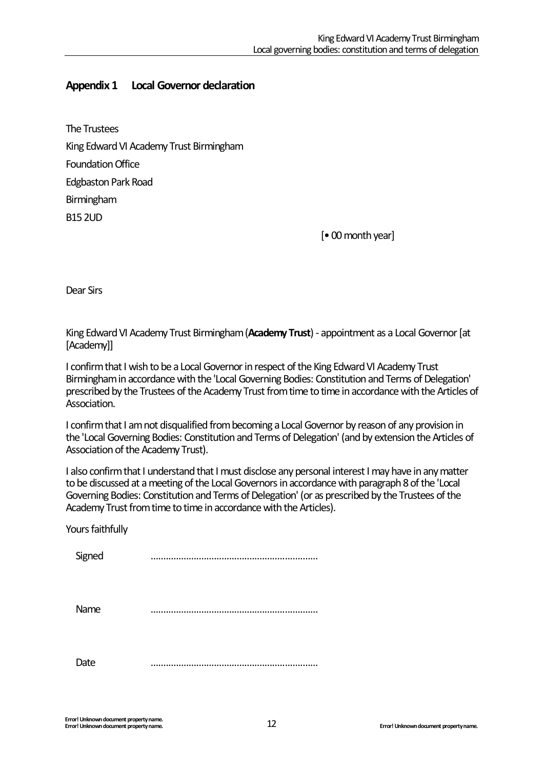## <span id="page-11-0"></span>**Appendix 1 Local Governor declaration**

The Trustees King Edward VI Academy Trust Birmingham Foundation Office Edgbaston Park Road Birmingham B15 2UD

[• 00 month year]

Dear Sirs

King Edward VI Academy Trust Birmingham(**Academy Trust**) - appointment as a Local Governor[at [Academy]]

I confirm that I wish to be a Local Governor in respect of the King Edward VI Academy Trust Birmingham in accordance with the 'Local Governing Bodies: Constitution and Terms of Delegation' prescribed by the Trustees of the Academy Trust from time to time in accordance with the Articles of Association.

I confirm that I am not disqualified from becoming a Local Governor by reason of any provision in the 'Local Governing Bodies: Constitution and Terms of Delegation' (and by extension the Articles of Association of the Academy Trust).

I also confirm that I understand that I must disclose any personal interest I may have in any matter to be discussed at a meeting of the Local Governors in accordance with paragraph 8 of the 'Local Governing Bodies: Constitution and Terms of Delegation' (or as prescribed by the Trustees of the Academy Trust from time to time in accordance with the Articles).

Yours faithfully

Signed ..................................................................

Name ..................................................................

Date ..................................................................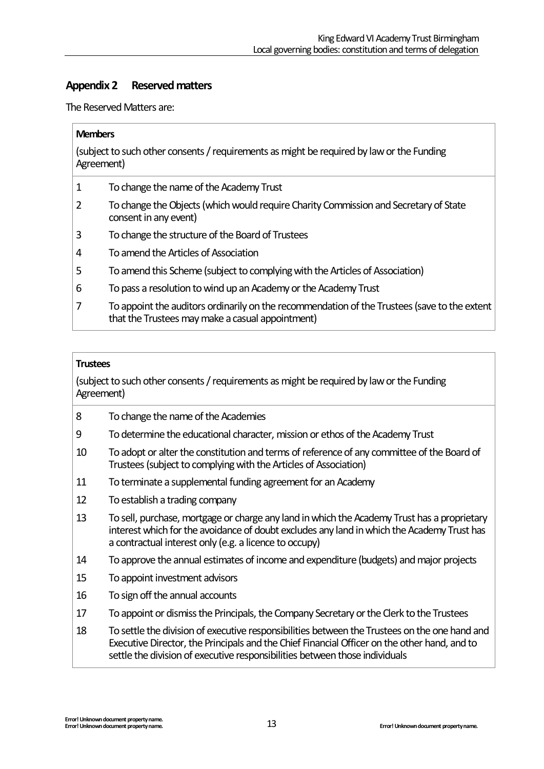## <span id="page-12-0"></span>**Appendix 2 Reserved matters**

The Reserved Matters are:

## **Members** (subject to such other consents/ requirements as might be required by law or the Funding Agreement) 1 To change the name of the Academy Trust

- 2 To change the Objects (which would require Charity Commission and Secretary of State consent in any event)
- 3 To change the structure of the Board of Trustees
- 4 To amend the Articles of Association
- 5 To amend this Scheme (subject to complying with the Articles of Association)
- 6 To pass a resolution to wind up an Academy or the Academy Trust
- 7 To appoint the auditors ordinarily on the recommendation of the Trustees (save to the extent that the Trustees may make a casual appointment)

#### **Trustees**

(subject to such other consents/ requirements as might be required by law or the Funding Agreement)

- 8 To change the name of the Academies
- 9 To determine the educational character, mission or ethos of the Academy Trust
- 10 To adopt or alter the constitution and terms of reference of any committee of the Board of Trustees(subject to complying with the Articles of Association)
- 11 To terminate a supplemental funding agreement for an Academy
- 12 To establish a trading company
- 13 To sell, purchase, mortgage or charge any land in which the Academy Trust has a proprietary interest which for the avoidance of doubt excludes any land in which the Academy Trust has a contractual interest only (e.g. a licence to occupy)
- 14 To approve the annual estimates of income and expenditure (budgets) and major projects
- 15 To appoint investment advisors
- 16 To sign off the annual accounts
- 17 To appoint or dismiss the Principals, the Company Secretary or the Clerk to the Trustees
- 18 To settle the division of executive responsibilities between the Trustees on the one hand and Executive Director, the Principals and the Chief FinancialOfficer on the other hand, and to settle the division of executive responsibilities between those individuals